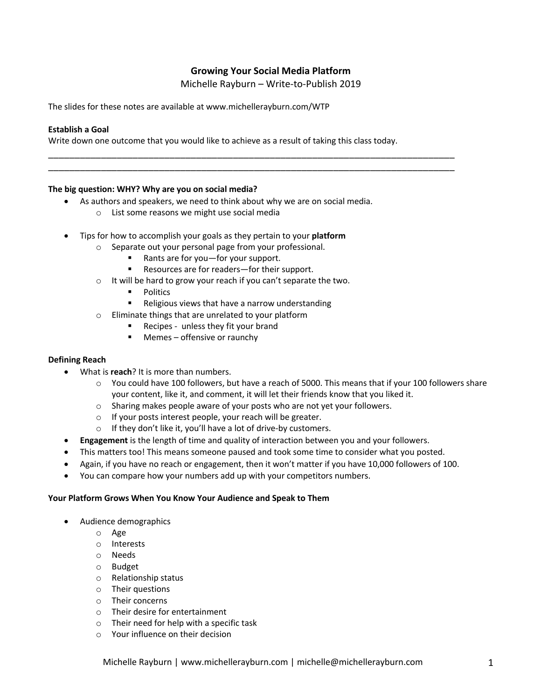# **Growing Your Social Media Platform**

Michelle Rayburn – Write-to-Publish 2019

The slides for these notes are available at www.michellerayburn.com/WTP

#### **Establish a Goal**

Write down one outcome that you would like to achieve as a result of taking this class today.

\_\_\_\_\_\_\_\_\_\_\_\_\_\_\_\_\_\_\_\_\_\_\_\_\_\_\_\_\_\_\_\_\_\_\_\_\_\_\_\_\_\_\_\_\_\_\_\_\_\_\_\_\_\_\_\_\_\_\_\_\_\_\_\_\_\_\_\_\_\_\_\_\_\_\_\_\_ \_\_\_\_\_\_\_\_\_\_\_\_\_\_\_\_\_\_\_\_\_\_\_\_\_\_\_\_\_\_\_\_\_\_\_\_\_\_\_\_\_\_\_\_\_\_\_\_\_\_\_\_\_\_\_\_\_\_\_\_\_\_\_\_\_\_\_\_\_\_\_\_\_\_\_\_\_

#### **The big question: WHY? Why are you on social media?**

- As authors and speakers, we need to think about why we are on social media.
	- o List some reasons we might use social media
- Tips for how to accomplish your goals as they pertain to your **platform**
	- o Separate out your personal page from your professional.
		- Rants are for you—for your support.
		- Resources are for readers-for their support.
	- o It will be hard to grow your reach if you can't separate the two.
		- **Politics**
		- Religious views that have a narrow understanding
	- o Eliminate things that are unrelated to your platform
		- Recipes unless they fit your brand
		- Memes offensive or raunchy

#### **Defining Reach**

- What is **reach**? It is more than numbers.
	- o You could have 100 followers, but have a reach of 5000. This means that if your 100 followers share your content, like it, and comment, it will let their friends know that you liked it.
	- o Sharing makes people aware of your posts who are not yet your followers.
	- o If your posts interest people, your reach will be greater.
	- $\circ$  If they don't like it, you'll have a lot of drive-by customers.
- **Engagement** is the length of time and quality of interaction between you and your followers.
- This matters too! This means someone paused and took some time to consider what you posted.
- Again, if you have no reach or engagement, then it won't matter if you have 10,000 followers of 100.
- You can compare how your numbers add up with your competitors numbers.

#### **Your Platform Grows When You Know Your Audience and Speak to Them**

- Audience demographics
	- o Age
	- o Interests
	- o Needs
	- o Budget
	- o Relationship status
	- o Their questions
	- o Their concerns
	- o Their desire for entertainment
	- o Their need for help with a specific task
	- o Your influence on their decision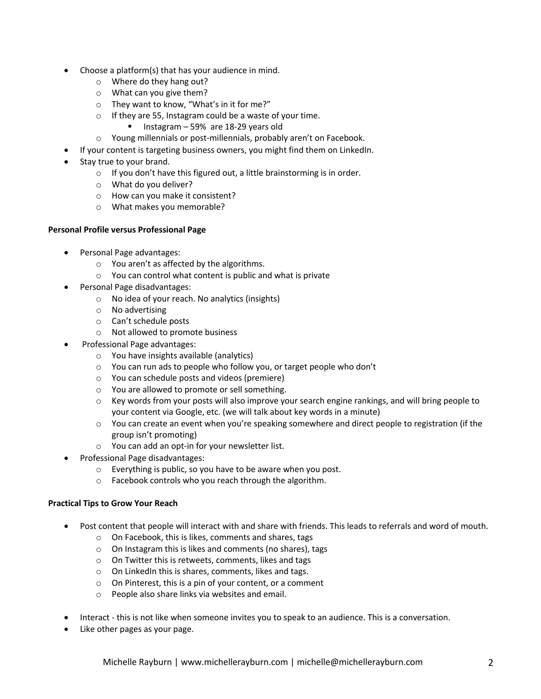- Choose a platform(s) that has your audience in mind.
	- o Where do they hang out?
	- o What can you give them?
	- o They want to know, "What's in it for me?"
	- o If they are 55, Instagram could be a waste of your time.
		- Instagram 59% are 18-29 years old
	- o Young millennials or post-millennials, probably aren't on Facebook.
- If your content is targeting business owners, you might find them on LinkedIn.
- Stay true to your brand.
	- o If you don't have this figured out, a little brainstorming is in order.
	- o What do you deliver?
	- o How can you make it consistent?
	- o What makes you memorable?

### **Personal Profile versus Professional Page**

- Personal Page advantages:
	- o You aren't as affected by the algorithms.
	- o You can control what content is public and what is private
- Personal Page disadvantages:
	- o No idea of your reach. No analytics (insights)
	- o No advertising
	- o Can't schedule posts
	- o Not allowed to promote business
- Professional Page advantages:
	- o You have insights available (analytics)
	- o You can run ads to people who follow you, or target people who don't
	- o You can schedule posts and videos (premiere)
	- o You are allowed to promote or sell something.
	- $\circ$  Key words from your posts will also improve your search engine rankings, and will bring people to your content via Google, etc. (we will talk about key words in a minute)
	- $\circ$  You can create an event when you're speaking somewhere and direct people to registration (if the group isn't promoting)
	- o You can add an opt-in for your newsletter list.
- Professional Page disadvantages:
	- o Everything is public, so you have to be aware when you post.
	- o Facebook controls who you reach through the algorithm.

## **Practical Tips to Grow Your Reach**

- Post content that people will interact with and share with friends. This leads to referrals and word of mouth.
	- o On Facebook, this is likes, comments and shares, tags
	- o On Instagram this is likes and comments (no shares), tags
	- o On Twitter this is retweets, comments, likes and tags
	- o On LinkedIn this is shares, comments, likes and tags.
	- o On Pinterest, this is a pin of your content, or a comment
	- o People also share links via websites and email.
- Interact this is not like when someone invites you to speak to an audience. This is a conversation.
- Like other pages as your page.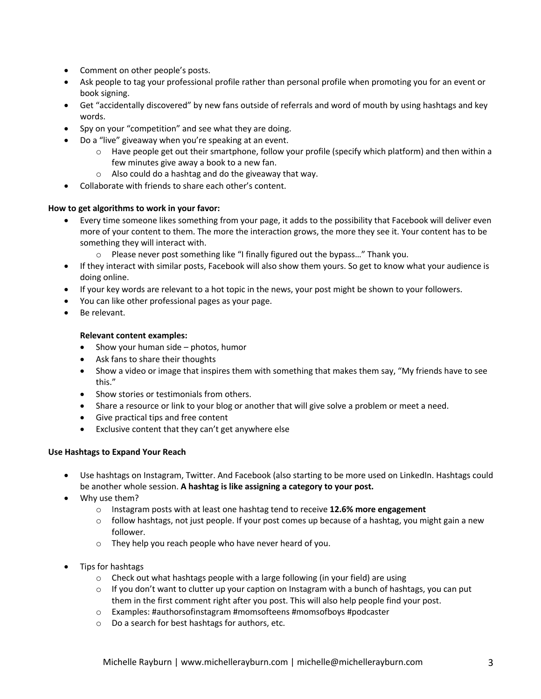- Comment on other people's posts.
- Ask people to tag your professional profile rather than personal profile when promoting you for an event or book signing.
- Get "accidentally discovered" by new fans outside of referrals and word of mouth by using hashtags and key words.
- Spy on your "competition" and see what they are doing.
- Do a "live" giveaway when you're speaking at an event.
	- $\circ$  Have people get out their smartphone, follow your profile (specify which platform) and then within a few minutes give away a book to a new fan.
	- o Also could do a hashtag and do the giveaway that way.
- Collaborate with friends to share each other's content.

## **How to get algorithms to work in your favor:**

- Every time someone likes something from your page, it adds to the possibility that Facebook will deliver even more of your content to them. The more the interaction grows, the more they see it. Your content has to be something they will interact with.
	- o Please never post something like "I finally figured out the bypass…" Thank you.
- If they interact with similar posts, Facebook will also show them yours. So get to know what your audience is doing online.
- If your key words are relevant to a hot topic in the news, your post might be shown to your followers.
- You can like other professional pages as your page.
- Be relevant.

### **Relevant content examples:**

- Show your human side photos, humor
- Ask fans to share their thoughts
- Show a video or image that inspires them with something that makes them say, "My friends have to see this."
- Show stories or testimonials from others.
- Share a resource or link to your blog or another that will give solve a problem or meet a need.
- Give practical tips and free content
- Exclusive content that they can't get anywhere else

### **Use Hashtags to Expand Your Reach**

- Use hashtags on Instagram, Twitter. And Facebook (also starting to be more used on LinkedIn. Hashtags could be another whole session. **A hashtag is like assigning a category to your post.**
- Why use them?
	- o Instagram posts with at least one hashtag tend to receive **12.6% more engagement**
	- $\circ$  follow hashtags, not just people. If your post comes up because of a hashtag, you might gain a new follower.
	- o They help you reach people who have never heard of you.
- Tips for hashtags
	- o Check out what hashtags people with a large following (in your field) are using
	- $\circ$  If you don't want to clutter up your caption on Instagram with a bunch of hashtags, you can put them in the first comment right after you post. This will also help people find your post.
	- o Examples: #authorsofinstagram #momsofteens #momsofboys #podcaster
	- o Do a search for best hashtags for authors, etc.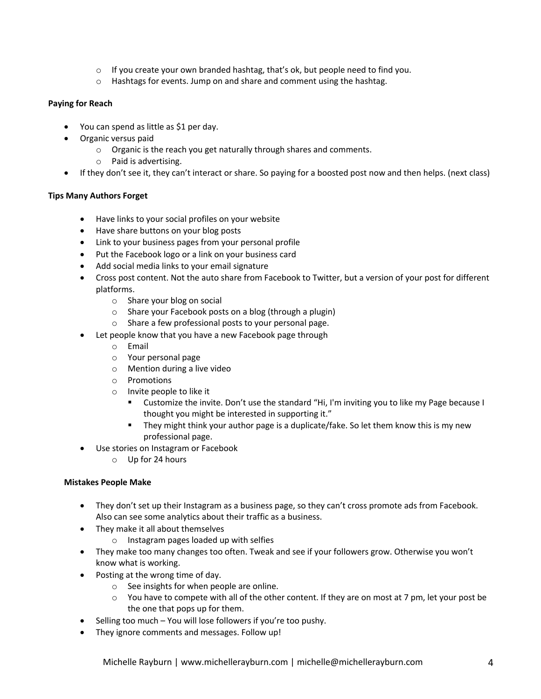- $\circ$  If you create your own branded hashtag, that's ok, but people need to find you.
- $\circ$  Hashtags for events. Jump on and share and comment using the hashtag.

# **Paying for Reach**

- You can spend as little as \$1 per day.
- Organic versus paid
	- o Organic is the reach you get naturally through shares and comments.
	- o Paid is advertising.
- If they don't see it, they can't interact or share. So paying for a boosted post now and then helps. (next class)

# **Tips Many Authors Forget**

- Have links to your social profiles on your website
- Have share buttons on your blog posts
- Link to your business pages from your personal profile
- Put the Facebook logo or a link on your business card
- Add social media links to your email signature
- Cross post content. Not the auto share from Facebook to Twitter, but a version of your post for different platforms.
	- o Share your blog on social
	- o Share your Facebook posts on a blog (through a plugin)
	- o Share a few professional posts to your personal page.
- Let people know that you have a new Facebook page through
	- o Email
	- o Your personal page
	- o Mention during a live video
	- o Promotions
	- o Invite people to like it
		- § Customize the invite. Don't use the standard "Hi, I'm inviting you to like my Page because I thought you might be interested in supporting it."
		- They might think your author page is a duplicate/fake. So let them know this is my new professional page.
- Use stories on Instagram or Facebook
	- o Up for 24 hours

## **Mistakes People Make**

- They don't set up their Instagram as a business page, so they can't cross promote ads from Facebook. Also can see some analytics about their traffic as a business.
- They make it all about themselves
	- o Instagram pages loaded up with selfies
- They make too many changes too often. Tweak and see if your followers grow. Otherwise you won't know what is working.
- Posting at the wrong time of day.
	- o See insights for when people are online.
	- $\circ$  You have to compete with all of the other content. If they are on most at 7 pm, let your post be the one that pops up for them.
- Selling too much You will lose followers if you're too pushy.
- They ignore comments and messages. Follow up!